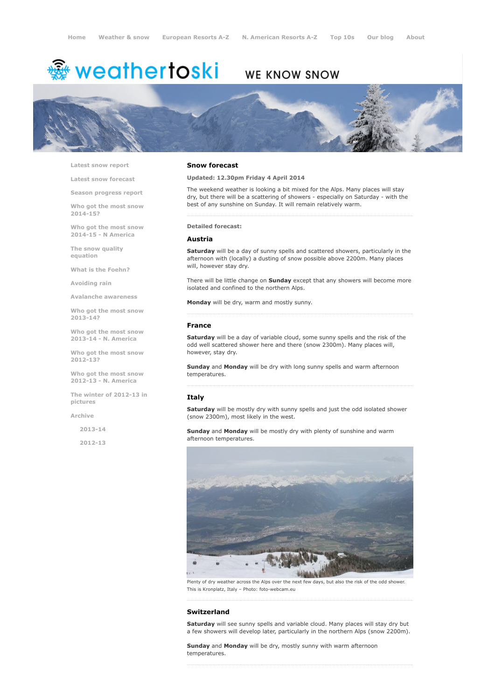# <del>鑾</del> weathertoski

# WE KNOW SNOW



Latest snow [report](http://www.weathertoski.co.uk/weather-snow/latest-snow-report/)

Latest snow [forecast](http://www.weathertoski.co.uk/weather-snow/latest-snow-forecast/)

Season [progress](http://www.weathertoski.co.uk/weather-snow/season-progress-report/) report

Who got the most snow 2014-15?

Who got the most snow 2014-15 - N America

The snow quality [equation](http://www.weathertoski.co.uk/weather-snow/the-snow-quality-equation/)

What is the [Foehn?](http://www.weathertoski.co.uk/weather-snow/what-is-the-foehn/)

[Avoiding](http://www.weathertoski.co.uk/weather-snow/avoiding-rain/) rain

Avalanche [awareness](http://www.weathertoski.co.uk/weather-snow/avalanche-awareness/)

Who got the most snow 2013-14?

Who got the most snow 2013-14 - N. America

Who got the most snow 2012-13?

Who got the most snow 2012-13 - N. America

The winter of 2012-13 in pictures

[Archive](http://www.weathertoski.co.uk/weather-snow/archive/)

2013-14

2012-13

#### Snow forecast

Updated: 12.30pm Friday 4 April 2014

The weekend weather is looking a bit mixed for the Alps. Many places will stay dry, but there will be a scattering of showers - especially on Saturday - with the best of any sunshine on Sunday. It will remain relatively warm.

Detailed forecast:

#### Austria

Saturday will be a day of sunny spells and scattered showers, particularly in the afternoon with (locally) a dusting of snow possible above 2200m. Many places will, however stay dry.

There will be little change on **Sunday** except that any showers will become more isolated and confined to the northern Alps.

Monday will be dry, warm and mostly sunny.

#### France

Saturday will be a day of variable cloud, some sunny spells and the risk of the odd well scattered shower here and there (snow 2300m). Many places will, however, stay dry.

Sunday and Monday will be dry with long sunny spells and warm afternoon temperatures.

#### Italy

Saturday will be mostly dry with sunny spells and just the odd isolated shower (snow 2300m), most likely in the west.

Sunday and Monday will be mostly dry with plenty of sunshine and warm afternoon temperatures.



Plenty of dry weather across the Alps over the next few days, but also the risk of the odd shower. This is Kronplatz, Italy - Photo: foto-webcam.eu

### Switzerland

Saturday will see sunny spells and variable cloud. Many places will stay dry but a few showers will develop later, particularly in the northern Alps (snow 2200m).

Sunday and Monday will be dry, mostly sunny with warm afternoon temperatures.